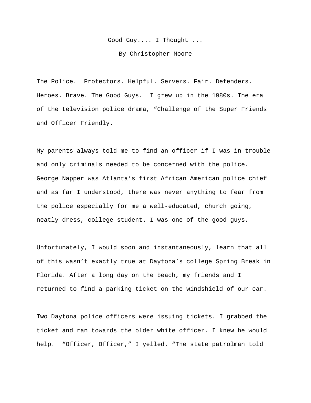Good Guy.... I Thought ...

By Christopher Moore

The Police. Protectors. Helpful. Servers. Fair. Defenders. Heroes. Brave. The Good Guys. I grew up in the 1980s. The era of the television police drama, "Challenge of the Super Friends and Officer Friendly.

My parents always told me to find an officer if I was in trouble and only criminals needed to be concerned with the police. George Napper was Atlanta's first African American police chief and as far I understood, there was never anything to fear from the police especially for me a well-educated, church going, neatly dress, college student. I was one of the good guys.

Unfortunately, I would soon and instantaneously, learn that all of this wasn't exactly true at Daytona's college Spring Break in Florida. After a long day on the beach, my friends and I returned to find a parking ticket on the windshield of our car.

Two Daytona police officers were issuing tickets. I grabbed the ticket and ran towards the older white officer. I knew he would help. "Officer, Officer," I yelled. "The state patrolman told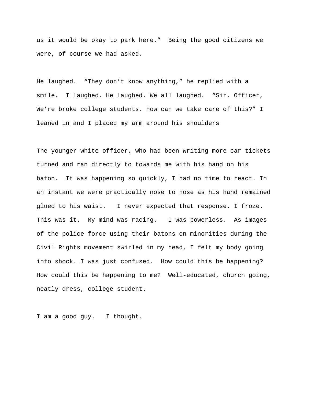us it would be okay to park here." Being the good citizens we were, of course we had asked.

He laughed. "They don't know anything," he replied with a smile. I laughed. He laughed. We all laughed. "Sir. Officer, We're broke college students. How can we take care of this?" I leaned in and I placed my arm around his shoulders

The younger white officer, who had been writing more car tickets turned and ran directly to towards me with his hand on his baton. It was happening so quickly, I had no time to react. In an instant we were practically nose to nose as his hand remained glued to his waist. I never expected that response. I froze. This was it. My mind was racing. I was powerless. As images of the police force using their batons on minorities during the Civil Rights movement swirled in my head, I felt my body going into shock. I was just confused. How could this be happening? How could this be happening to me? Well-educated, church going, neatly dress, college student.

I am a good guy. I thought.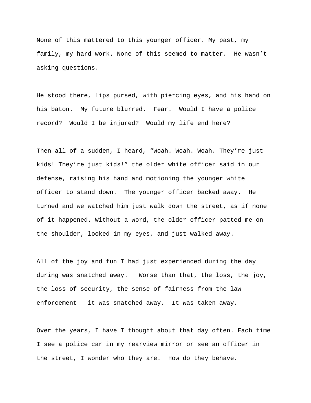None of this mattered to this younger officer. My past, my family, my hard work. None of this seemed to matter. He wasn't asking questions.

He stood there, lips pursed, with piercing eyes, and his hand on his baton. My future blurred. Fear. Would I have a police record? Would I be injured? Would my life end here?

Then all of a sudden, I heard, "Woah. Woah. Woah. They're just kids! They're just kids!" the older white officer said in our defense, raising his hand and motioning the younger white officer to stand down. The younger officer backed away. He turned and we watched him just walk down the street, as if none of it happened. Without a word, the older officer patted me on the shoulder, looked in my eyes, and just walked away.

All of the joy and fun I had just experienced during the day during was snatched away. Worse than that, the loss, the joy, the loss of security, the sense of fairness from the law enforcement – it was snatched away. It was taken away.

Over the years, I have I thought about that day often. Each time I see a police car in my rearview mirror or see an officer in the street, I wonder who they are. How do they behave.